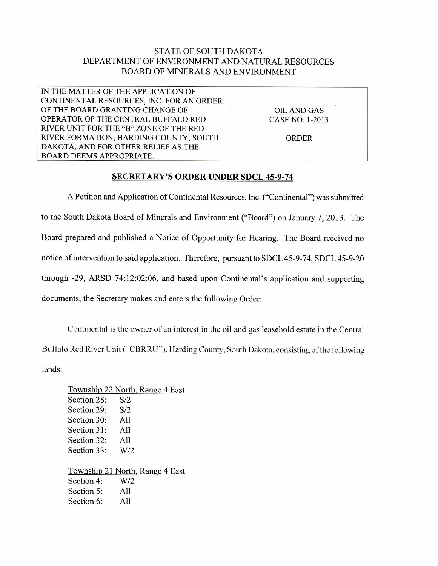## STATE OF SOUTH DAKOTA DEPARTMENT OF ENVIRONMENT AND NATURAL RESOURCES BOARD OF MINERALS AND ENVIRONMENT

IN THE MATTER OF THE APPLICATION OF CONTINENTAL RESOURCES, INC. FOR AN ORDER OF THE BOARD GRANTING CHANGE OF OPERATOR OF THE CENTRAL BUFFALO RED RIVER UNIT FOR THE "B" ZONE OF THE RED RIVER FORMATION, HARDING COUNTY, SOUTH DAKOTA; AND FOR OTHER RELIEF AS THE BOARD DEEMS APPROPRIATE.

OIL AND GAS CASE NO. 1-2013

ORDER

## SECRETARY'S ORDER UNDER SDCL 45-9-74

A Petition and Application of Continental Resources, Inc. ("Continental") was submitted to the South Dakota Board of Minerals and Environment ("Board") on January 7, 2013. The Board prepared and published a Notice of Opportunity for Hearing. The Board received no notice of intervention to said application. Therefore, pursuant to SDCL 45-9-74, SDCL 45-9-20 through -29, ARSD 74:12:02:06, and based upon Continental's application and supporting documents, the Secretary makes and enters the following Order:

Continental is the owner of an interest in the oil and gas leasehold estate in the Central Buffalo Red River Unit ("CBRRU"). Harding County, South Dakota, consisting of the following lands:

Township 22 North, Range 4 East Section 28: S/2 Section 29: S/2 Section 30: All Section 31: All Section 32: All Section 33: W/2 Township 21 North, Range 4 East Section 4: W/2 Section 5: All Section 6: All